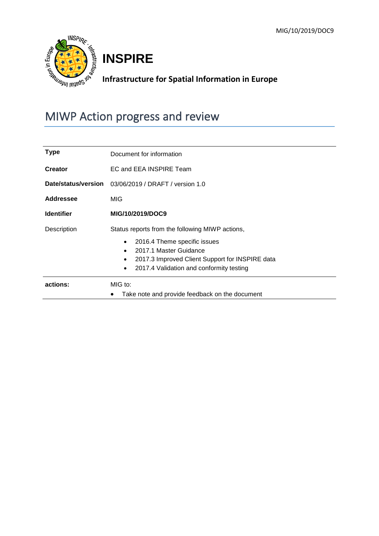

# **INSPIRE**

# **Infrastructure for Spatial Information in Europe**

# MIWP Action progress and review

| Type                | Document for information                        |  |  |  |  |  |  |
|---------------------|-------------------------------------------------|--|--|--|--|--|--|
| <b>Creator</b>      | EC and EEA INSPIRE Team                         |  |  |  |  |  |  |
| Date/status/version | 03/06/2019 / DRAFT / version 1.0                |  |  |  |  |  |  |
| <b>Addressee</b>    | MIG                                             |  |  |  |  |  |  |
| <b>Identifier</b>   | MIG/10/2019/DOC9                                |  |  |  |  |  |  |
| Description         | Status reports from the following MIWP actions, |  |  |  |  |  |  |
|                     | 2016.4 Theme specific issues                    |  |  |  |  |  |  |
|                     | 2017.1 Master Guidance                          |  |  |  |  |  |  |
|                     | 2017.3 Improved Client Support for INSPIRE data |  |  |  |  |  |  |
|                     | 2017.4 Validation and conformity testing        |  |  |  |  |  |  |
| actions:            | MIG to:                                         |  |  |  |  |  |  |
|                     | Take note and provide feedback on the document  |  |  |  |  |  |  |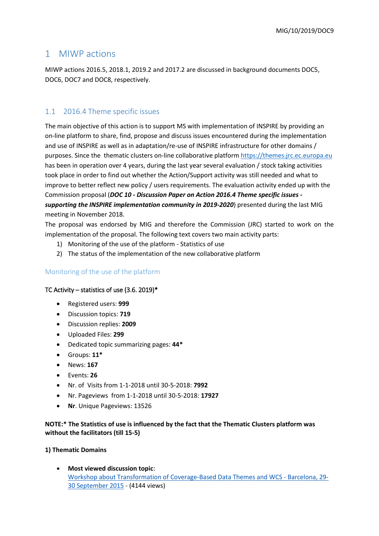# 1 MIWP actions

MIWP actions 2016.5, 2018.1, 2019.2 and 2017.2 are discussed in background documents DOC5, DOC6, DOC7 and DOC8, respectively.

## 1.1 2016.4 Theme specific issues

The main objective of this action is to support MS with implementation of INSPIRE by providing an on-line platform to share, find, propose and discuss issues encountered during the implementation and use of INSPIRE as well as in adaptation/re-use of INSPIRE infrastructure for other domains / purposes. Since the thematic clusters on-line collaborative platform https://themes.jrc.ec.europa.eu has been in operation over 4 years, during the last year several evaluation / stock taking activities took place in order to find out whether the Action/Support activity was still needed and what to improve to better reflect new policy / users requirements. The evaluation activity ended up with the Commission proposal (*DOC 10 - Discussion Paper on Action 2016.4 Theme specific issues supporting the INSPIRE implementation community in 2019-2020*) presented during the last MIG meeting in November 2018.

The proposal was endorsed by MIG and therefore the Commission (JRC) started to work on the implementation of the proposal. The following text covers two main activity parts:

- 1) Monitoring of the use of the platform Statistics of use
- 2) The status of the implementation of the new collaborative platform

## Monitoring of the use of the platform

#### TC Activity – statistics of use  $(3.6. 2019)^*$

- Registered users: **999**
- Discussion topics: **719**
- Discussion replies: **2009**
- Uploaded Files: **299**
- Dedicated topic summarizing pages: **44\***
- Groups: **11\***
- News: **167**
- Events: **26**
- Nr. of Visits from 1-1-2018 until 30-5-2018: **7992**
- Nr. Pageviews from 1-1-2018 until 30-5-2018: **17927**
- **Nr**. Unique Pageviews: 13526

**NOTE:\* The Statistics of use is influenced by the fact that the Thematic Clusters platform was without the facilitators (till 15-5)** 

#### **1) Thematic Domains**

 **Most viewed discussion topic**[:](https://inspire.ec.europa.eu/forum/pages/view/45690/workshop-about-transformation-of-coverage-based-data-themes-and-wcs-barcelona-29-30-september-2015) [Workshop about Transformation of Coverage-Based Data Themes and WCS -](https://inspire.ec.europa.eu/forum/pages/view/45690/workshop-about-transformation-of-coverage-based-data-themes-and-wcs-barcelona-29-30-september-2015) Barcelona, 29- [30 September 2015](https://inspire.ec.europa.eu/forum/pages/view/45690/workshop-about-transformation-of-coverage-based-data-themes-and-wcs-barcelona-29-30-september-2015) - (4144 views)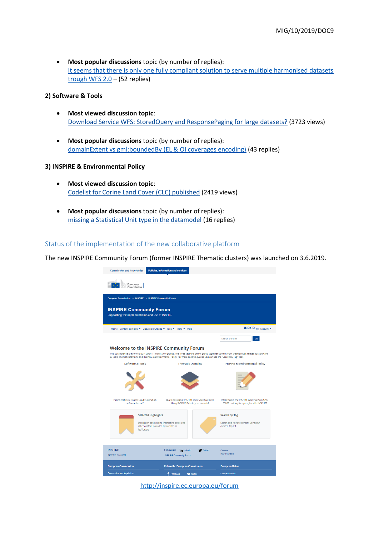**Most popular discussions** topic (by number of replies): [It seems that there is only one fully compliant solution to serve multiple harmonised datasets](https://inspire.ec.europa.eu/forum/discussion/view/88206/it-seems-that-there-is-only-one-fully-compliant-solution-to-serve-multiple-harmonised-datasets-trough-wfs-20)  [trough WFS 2.0](https://inspire.ec.europa.eu/forum/discussion/view/88206/it-seems-that-there-is-only-one-fully-compliant-solution-to-serve-multiple-harmonised-datasets-trough-wfs-20) – (52 replies)

#### **2) Software & Tools**

- **Most viewed discussion topic**: [Download Service WFS: StoredQuery and ResponsePaging for large datasets?](https://inspire.ec.europa.eu/forum/discussion/view/164757/download-service-wfs-storedquery-and-responsepaging-for-large-datasets) (3723 views)
- **Most popular discussions** topic (by number of replies): [domainExtent vs gml:boundedBy \(EL & OI coverages encoding\)](https://inspire.ec.europa.eu/forum/discussion/view/12901/domainextent-vs-gmlboundedby-el-oi-coverages-encoding) (43 replies)

#### **3) INSPIRE & Environmental Policy**

- **Most viewed discussion topic**: [Codelist for Corine Land Cover \(CLC\) published](https://inspire.ec.europa.eu/forum/discussion/view/27211/codelist-for-corine-land-cover-clc-published) (2419 views)
- **Most popular discussions** topic (by number of replies): [missing a Statistical Unit type in the datamodel](https://inspire.ec.europa.eu/forum/discussion/view/131523/missing-a-statistical-unit-type-in-the-datamodel) (16 replies)

#### Status of the implementation of the new collaborative platform

The new INSPIRE Community Forum (former INSPIRE Thematic clusters) was launched on 3.6.2019.



<http://inspire.ec.europa.eu/forum>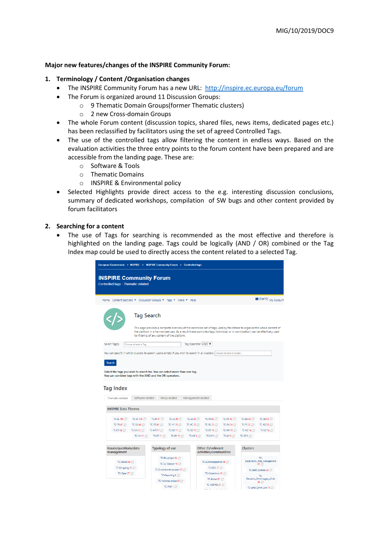#### **Major new features/changes of the INSPIRE Community Forum:**

#### **1. Terminology / Content /Organisation changes**

- The INSPIRE Community Forum has a new URL: <http://inspire.ec.europa.eu/forum>
- The Forum is organized around 11 Discussion Groups:
	- o 9 Thematic Domain Groups(former Thematic clusters)
	- o 2 new Cross-domain Groups
- The whole Forum content (discussion topics, shared files, news items, dedicated pages etc.) has been reclassified by facilitators using the set of agreed Controlled Tags.
- The use of the controlled tags allow filtering the content in endless ways. Based on the evaluation activities the three entry points to the forum content have been prepared and are accessible from the landing page. These are:
	- o Software & Tools
	- o Thematic Domains
	- o INSPIRE & Environmental policy
- Selected Highlights provide direct access to the e.g. interesting discussion conclusions, summary of dedicated workshops, compilation of SW bugs and other content provided by forum facilitators

#### **2. Searching for a content**

 The use of Tags for searching is recommended as the most effective and therefore is highlighted on the landing page. Tags could be logically (AND / OR) combined or the Tag Index map could be used to directly access the content related to a selected Tag.

| European Commission > INSPIRE > INSPIRE Community Forum > Controlled tags |                                                                |                                                                                                               |                                 |                                             |                                                                        |                 |                                                                                                                                        |                                                                                                                                                                                                                                                          |  |  |  |
|---------------------------------------------------------------------------|----------------------------------------------------------------|---------------------------------------------------------------------------------------------------------------|---------------------------------|---------------------------------------------|------------------------------------------------------------------------|-----------------|----------------------------------------------------------------------------------------------------------------------------------------|----------------------------------------------------------------------------------------------------------------------------------------------------------------------------------------------------------------------------------------------------------|--|--|--|
| <b>INSPIRE Community Forum</b><br>Controlled tags - Thematic-related      |                                                                |                                                                                                               |                                 |                                             |                                                                        |                 |                                                                                                                                        |                                                                                                                                                                                                                                                          |  |  |  |
|                                                                           | Home Content Sections ▼ Discussion Groups ▼ Tags ▼ More ▼ Help |                                                                                                               |                                 |                                             |                                                                        |                 |                                                                                                                                        | $\bigtriangledown$ (0) $\mathbf{t}^{3(0)}$ My Account                                                                                                                                                                                                    |  |  |  |
|                                                                           | <b>Tag Search</b>                                              | for filtering of any content of the platform.                                                                 |                                 |                                             |                                                                        |                 |                                                                                                                                        | This page provides a complete overview of the controlled set of tags used by facilitators to organise the whole content of<br>the platform in a harmonised way. As a result these controlled tags (individual or in combination) can be effectively used |  |  |  |
| Select Tag(s)                                                             | Choose at least a Tag                                          |                                                                                                               |                                 | Tag Operator AND                            |                                                                        |                 |                                                                                                                                        |                                                                                                                                                                                                                                                          |  |  |  |
|                                                                           |                                                                |                                                                                                               |                                 |                                             |                                                                        |                 |                                                                                                                                        |                                                                                                                                                                                                                                                          |  |  |  |
| <b>Tag Index</b><br>Thematic-related                                      | Software-related                                               |                                                                                                               | Policy-related                  | Management-related                          |                                                                        |                 |                                                                                                                                        |                                                                                                                                                                                                                                                          |  |  |  |
| <b>INSPIRE Data Themes</b>                                                |                                                                |                                                                                                               |                                 |                                             |                                                                        |                 |                                                                                                                                        |                                                                                                                                                                                                                                                          |  |  |  |
| TC-EL 165                                                                 |                                                                | TC-OI 148 3 TC-EF 87 TC-LC 86 3                                                                               |                                 | TC-LU 83                                    | TC-RS 62                                                               | TC-OF 62        | TC-GG 58 22                                                                                                                            | TC-GE 54                                                                                                                                                                                                                                                 |  |  |  |
|                                                                           | TC-TN 47 9 TC-SU 44                                            | TC-PD 41                                                                                                      | TC-HY 39                        | TC-AC 38                                    | TC-BU 35                                                               | TC-AU 34        | TC-PS 32 (2)                                                                                                                           | TC-AD 28                                                                                                                                                                                                                                                 |  |  |  |
|                                                                           | TC-CP 24 TC-GN 23                                              | TC-MR 17 $\degree$                                                                                            | TC-SD 17 $\degree$              | TC-SO 16                                    | $TC-ER$ 16 $CT$                                                        |                 | TC-AM 15 3 TC-NZ 14                                                                                                                    | TC-US 14                                                                                                                                                                                                                                                 |  |  |  |
|                                                                           | TC-HH 11                                                       |                                                                                                               | TC-PF 11 3 TC-BR 10 3 TC-HB 9 3 |                                             | TC-MF 6                                                                | TC-AF6          | TC-SR 5                                                                                                                                |                                                                                                                                                                                                                                                          |  |  |  |
| Issues/questions/data<br>management                                       |                                                                | <b>Typology of use</b>                                                                                        |                                 | Other EU relevant<br>activities/communities |                                                                        | <b>Clusters</b> |                                                                                                                                        |                                                                                                                                                                                                                                                          |  |  |  |
| TC-Closed 58<br>TC-On-going 35<br>TC-Open 27                              |                                                                | TC-EU-project 24<br>TC-EU-Dataset 16<br>TC-Cross-border-project 10<br>TC-Reporting 6<br>TC-National-project 5 |                                 |                                             | TC-EuroGeographics 48<br>TC-OGC 37<br>TC-Copernicus 33<br>TC-Eionet 27 |                 | TC-<br>Biodiversity_Area_Management<br>61 <sup>o</sup><br>TC-Earth_Science 28<br>TC-<br>Elevation_Othoimagery_Grids<br>28 <sup>2</sup> |                                                                                                                                                                                                                                                          |  |  |  |
|                                                                           |                                                                |                                                                                                               | TC-Pilot 1                      |                                             | TC-INSPIRE 27                                                          |                 |                                                                                                                                        | TC-Land_Cover_Use 10                                                                                                                                                                                                                                     |  |  |  |
|                                                                           |                                                                |                                                                                                               |                                 |                                             |                                                                        |                 |                                                                                                                                        |                                                                                                                                                                                                                                                          |  |  |  |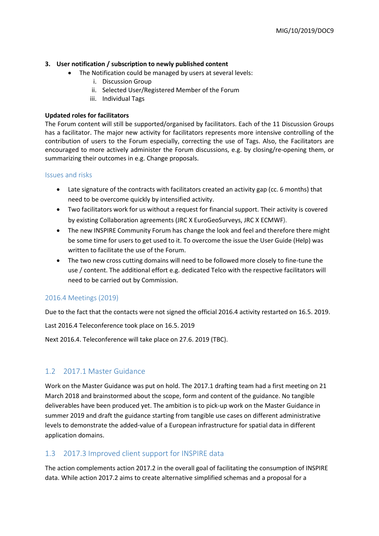#### **3. User notification / subscription to newly published content**

- The Notification could be managed by users at several levels:
	- i. Discussion Group
	- ii. Selected User/Registered Member of the Forum
	- iii. Individual Tags

#### **Updated roles for facilitators**

The Forum content will still be supported/organised by facilitators. Each of the 11 Discussion Groups has a facilitator. The major new activity for facilitators represents more intensive controlling of the contribution of users to the Forum especially, correcting the use of Tags. Also, the Facilitators are encouraged to more actively administer the Forum discussions, e.g. by closing/re-opening them, or summarizing their outcomes in e.g. Change proposals.

#### Issues and risks

- Late signature of the contracts with facilitators created an activity gap (cc. 6 months) that need to be overcome quickly by intensified activity.
- Two facilitators work for us without a request for financial support. Their activity is covered by existing Collaboration agreements (JRC X EuroGeoSurveys, JRC X ECMWF).
- The new INSPIRE Community Forum has change the look and feel and therefore there might be some time for users to get used to it. To overcome the issue the User Guide (Help) was written to facilitate the use of the Forum.
- The two new cross cutting domains will need to be followed more closely to fine-tune the use / content. The additional effort e.g. dedicated Telco with the respective facilitators will need to be carried out by Commission.

#### 2016.4 Meetings (2019)

Due to the fact that the contacts were not signed the official 2016.4 activity restarted on 16.5. 2019.

Last 2016.4 Teleconference took place on 16.5. 2019

Next 2016.4. Teleconference will take place on 27.6. 2019 (TBC).

## 1.2 2017.1 Master Guidance

Work on the Master Guidance was put on hold. The 2017.1 drafting team had a first meeting on 21 March 2018 and brainstormed about the scope, form and content of the guidance. No tangible deliverables have been produced yet. The ambition is to pick-up work on the Master Guidance in summer 2019 and draft the guidance starting from tangible use cases on different administrative levels to demonstrate the added-value of a European infrastructure for spatial data in different application domains.

## 1.3 2017.3 Improved client support for INSPIRE data

The action complements action 2017.2 in the overall goal of facilitating the consumption of INSPIRE data. While action 2017.2 aims to create alternative simplified schemas and a proposal for a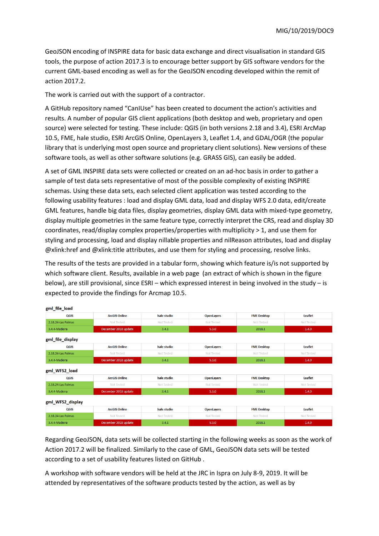GeoJSON encoding of INSPIRE data for basic data exchange and direct visualisation in standard GIS tools, the purpose of action 2017.3 is to encourage better support by GIS software vendors for the current GML-based encoding as well as for the GeoJSON encoding developed within the remit of action 2017.2.

The work is carried out with the support of a contractor.

A GitHub repository named "CanIUse" has been created to document the action's activities and results. A number of popular GIS client applications (both desktop and web, proprietary and open source) were selected for testing. These include: QGIS (in both versions 2.18 and 3.4), ESRI ArcMap 10.5, FME, hale studio, ESRI ArcGIS Online, OpenLayers 3, Leaflet 1.4, and GDAL/OGR (the popular library that is underlying most open source and proprietary client solutions). New versions of these software tools, as well as other software solutions (e.g. GRASS GIS), can easily be added.

A set of GML INSPIRE data sets were collected or created on an ad-hoc basis in order to gather a sample of test data sets representative of most of the possible complexity of existing INSPIRE schemas. Using these data sets, each selected client application was tested according to the following usability features : load and display GML data, load and display WFS 2.0 data, edit/create GML features, handle big data files, display geometries, display GML data with mixed-type geometry, display multiple geometries in the same feature type, correctly interpret the CRS, read and display 3D coordinates, read/display complex properties/properties with multiplicity > 1, and use them for styling and processing, load and display nillable properties and nilReason attributes, load and display @xlink:href and @xlink:title attributes, and use them for styling and processing, resolve links.

The results of the tests are provided in a tabular form, showing which feature is/is not supported by which software client. Results, available in a web page (an extract of which is shown in the figure below), are still provisional, since ESRI – which expressed interest in being involved in the study – is expected to provide the findings for Arcmap 10.5.

| gmi file load      |                      |                   |                   |                    |                   |
|--------------------|----------------------|-------------------|-------------------|--------------------|-------------------|
| QGIS               | <b>ArcGIS Online</b> | hale studio       | <b>OpenLayers</b> | <b>FME Desktop</b> | <b>Leaflet</b>    |
| 2.18.24-Las Palmas | Not Tested           | <b>Not Tested</b> | <b>Not Tested</b> | Not Tested         | Not Tested        |
| 3.4.4-Madeira      | December 2018 update | 3.4.1             | 5.3.0             | 2018.1             | 1.4.0             |
| gml_file_display   |                      |                   |                   |                    |                   |
| QGIS               | <b>ArcGIS Online</b> | hale studio       | <b>OpenLayers</b> | <b>FME Desktop</b> | <b>Leaflet</b>    |
| 2.18.24-Las Palmas | <b>Not Tested</b>    | <b>Not Tested</b> | <b>Not Tested</b> | <b>Not Tested</b>  | <b>Not Tested</b> |
| 3.4.4-Madeira      | December 2018 update | 3.4.1             | 5.3.0             | 2018.1             | 1.4.0             |
| gml_WFS2_load      |                      |                   |                   |                    |                   |
| QGIS               | <b>ArcGIS Online</b> | hale studio       | <b>OpenLayers</b> | <b>FME Desktop</b> | <b>Leaflet</b>    |
| 2.18.24-Las Palmas | <b>Not Tested</b>    | <b>Not Tested</b> | <b>Not Tested</b> | <b>Not Tested</b>  | <b>Not Tested</b> |
| 3.4.4-Madeira      | December 2018 update | 3.4.1             | 5.3.0             | 2018.1             | 1.4.0             |
| gml WFS2 display   |                      |                   |                   |                    |                   |
| QGIS               | <b>ArcGIS Online</b> | hale studio       | <b>OpenLayers</b> | <b>FME Desktop</b> | Leaflet           |
| 2.18.24-Las Palmas | <b>Not Tested</b>    | <b>Not Tested</b> | <b>Not Tested</b> | <b>Not Tested</b>  | <b>Not Tested</b> |
| 3.4.4-Madeira      | December 2018 update | 3.4.1             | 5.3.0             | 2018.1             | 1.4.0             |

Regarding GeoJSON, data sets will be collected starting in the following weeks as soon as the work of Action 2017.2 will be finalized. Similarly to the case of GML, GeoJSON data sets will be tested according to a set of usability features listed on GitHub .

A workshop with software vendors will be held at the JRC in Ispra on July 8-9, 2019. It will be attended by representatives of the software products tested by the action, as well as by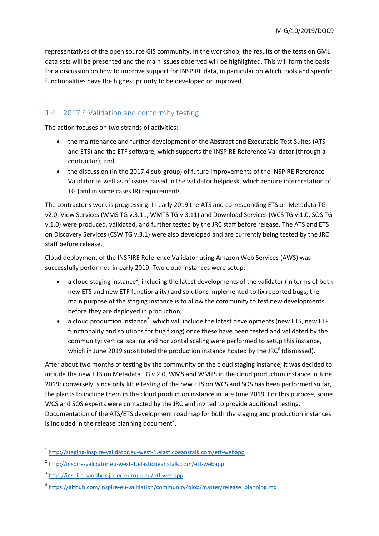representatives of the open source GIS community. In the workshop, the results of the tests on GML data sets will be presented and the main issues observed will be highlighted. This will form the basis for a discussion on how to improve support for INSPIRE data, in particular on which tools and specific functionalities have the highest priority to be developed or improved.

## 1.4 2017.4 Validation and conformity testing

The action focuses on two strands of activities:

- the maintenance and further development of the Abstract and Executable Test Suites (ATS and ETS) and the ETF software, which supports the INSPIRE Reference Validator (through a contractor); and
- the discussion (in the 2017.4 sub-group) of future improvements of the INSPIRE Reference Validator as well as of issues raised in the validator helpdesk, which require interpretation of TG (and in some cases IR) requirements.

The contractor's work is progressing. In early 2019 the ATS and corresponding ETS on Metadata TG v2.0, View Services (WMS TG v.3.11, WMTS TG v.3.11) and Download Services (WCS TG v.1.0, SOS TG v.1.0) were produced, validated, and further tested by the JRC staff before release. The ATS and ETS on Discovery Services (CSW TG v.3.1) were also developed and are currently being tested by the JRC staff before release.

Cloud deployment of the INSPIRE Reference Validator using Amazon Web Services (AWS) was successfully performed in early 2019. Two cloud instances were setup:

- $\bullet$  a cloud staging instance<sup>1</sup>, including the latest developments of the validator (in terms of both new ETS and new ETF functionality) and solutions implemented to fix reported bugs; the main purpose of the staging instance is to allow the community to test new developments before they are deployed in production;
- $\bullet$  a cloud production instance<sup>2</sup>, which will include the latest developments (new ETS, new ETF functionality and solutions for bug fixing) once these have been tested and validated by the community; vertical scaling and horizontal scaling were performed to setup this instance, which in June 2019 substituted the production instance hosted by the JRC<sup>3</sup> (dismissed).

After about two months of testing by the community on the cloud staging instance, it was decided to include the new ETS on Metadata TG v.2.0, WMS and WMTS in the cloud production instance in June 2019; conversely, since only little testing of the new ETS on WCS and SOS has been performed so far, the plan is to include them in the cloud production instance in late June 2019. For this purpose, some WCS and SOS experts were contacted by the JRC and invited to provide additional testing. Documentation of the ATS/ETS development roadmap for both the staging and production instances is included in the release planning document<sup>4</sup>.

1

<sup>1</sup> <http://staging-inspire-validator.eu-west-1.elasticbeanstalk.com/etf-webapp>

<sup>&</sup>lt;sup>2</sup> <http://inspire-validator.eu-west-1.elasticbeanstalk.com/etf-webapp>

<sup>3</sup> <http://inspire-sandbox.jrc.ec.europa.eu/etf-webapp>

<sup>&</sup>lt;sup>4</sup> [https://github.com/inspire-eu-validation/community/blob/master/release\\_planning.md](https://github.com/inspire-eu-validation/community/blob/master/release_planning.md)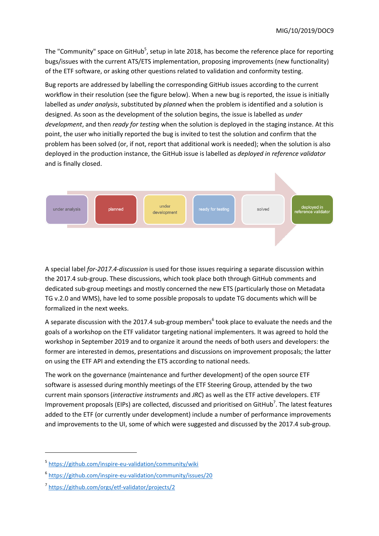The "Community" space on GitHub<sup>5</sup>, setup in late 2018, has become the reference place for reporting bugs/issues with the current ATS/ETS implementation, proposing improvements (new functionality) of the ETF software, or asking other questions related to validation and conformity testing.

Bug reports are addressed by labelling the corresponding GitHub issues according to the current workflow in their resolution (see the figure below). When a new bug is reported, the issue is initially labelled as *under analysis*, substituted by *planned* when the problem is identified and a solution is designed. As soon as the development of the solution begins, the issue is labelled as *under development*, and then *ready for testing* when the solution is deployed in the staging instance. At this point, the user who initially reported the bug is invited to test the solution and confirm that the problem has been solved (or, if not, report that additional work is needed); when the solution is also deployed in the production instance, the GitHub issue is labelled as *deployed in reference validator* and is finally closed.



A special label *for-2017.4-discussion* is used for those issues requiring a separate discussion within the 2017.4 sub-group. These discussions, which took place both through GitHub comments and dedicated sub-group meetings and mostly concerned the new ETS (particularly those on Metadata TG v.2.0 and WMS), have led to some possible proposals to update TG documents which will be formalized in the next weeks.

A separate discussion with the 2017.4 sub-group members<sup>6</sup> took place to evaluate the needs and the goals of a workshop on the ETF validator targeting national implementers. It was agreed to hold the workshop in September 2019 and to organize it around the needs of both users and developers: the former are interested in demos, presentations and discussions on improvement proposals; the latter on using the ETF API and extending the ETS according to national needs.

The work on the governance (maintenance and further development) of the open source ETF software is assessed during monthly meetings of the ETF Steering Group, attended by the two current main sponsors (*interactive instruments* and *JRC*) as well as the ETF active developers. ETF Improvement proposals (EIPs) are collected, discussed and prioritised on GitHub<sup>7</sup>. The latest features added to the ETF (or currently under development) include a number of performance improvements and improvements to the UI, some of which were suggested and discussed by the 2017.4 sub-group.

**.** 

<sup>&</sup>lt;sup>5</sup> <https://github.com/inspire-eu-validation/community/wiki>

<sup>6</sup> <https://github.com/inspire-eu-validation/community/issues/20>

<sup>7</sup> <https://github.com/orgs/etf-validator/projects/2>